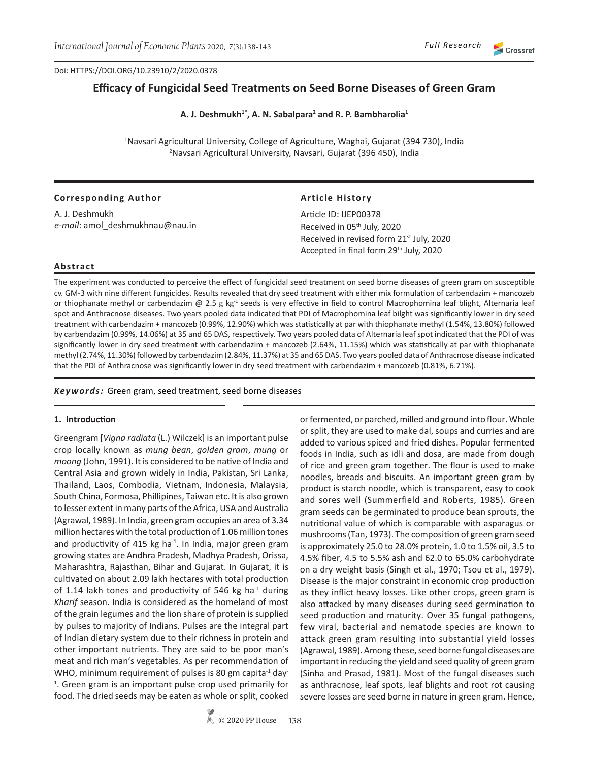#### Doi: HTTPS://DOI.ORG/10.23910/2/2020.0378

# **Efficacy of Fungicidal Seed Treatments on Seed Borne Diseases of Green Gram**

**A. J. Deshmukh1\*, A. N. Sabalpara<sup>2</sup> and R. P. Bambharolia<sup>1</sup>**

<sup>1</sup>Navsari Agricultural University, College of Agriculture, Waghai, Gujarat (394 730), India 2 Navsari Agricultural University, Navsari, Gujarat (396 450), India

| <b>Corresponding Author</b>     | <b>Article History</b>                               |  |  |  |  |  |
|---------------------------------|------------------------------------------------------|--|--|--|--|--|
| A. J. Deshmukh                  | Article ID: IJEP00378                                |  |  |  |  |  |
| e-mail: amol deshmukhnau@nau.in | Received in 05 <sup>th</sup> July, 2020              |  |  |  |  |  |
|                                 | Received in revised form 21 <sup>st</sup> July, 2020 |  |  |  |  |  |
|                                 | Accepted in final form 29th July, 2020               |  |  |  |  |  |

#### **Abstract**

The experiment was conducted to perceive the effect of fungicidal seed treatment on seed borne diseases of green gram on susceptible cv. GM-3 with nine different fungicides. Results revealed that dry seed treatment with either mix formulation of carbendazim + mancozeb or thiophanate methyl or carbendazim  $\omega$  2.5 g kg<sup>-1</sup> seeds is very effective in field to control Macrophomina leaf blight, Alternaria leaf spot and Anthracnose diseases. Two years pooled data indicated that PDI of Macrophomina leaf bilght was significantly lower in dry seed treatment with carbendazim + mancozeb (0.99%, 12.90%) which was statistically at par with thiophanate methyl (1.54%, 13.80%) followed by carbendazim (0.99%, 14.06%) at 35 and 65 DAS, respectively. Two years pooled data of Alternaria leaf spot indicated that the PDI of was significantly lower in dry seed treatment with carbendazim + mancozeb (2.64%, 11.15%) which was statistically at par with thiophanate methyl (2.74%, 11.30%) followed by carbendazim (2.84%, 11.37%) at 35 and 65 DAS. Two years pooled data of Anthracnose disease indicated that the PDI of Anthracnose was significantly lower in dry seed treatment with carbendazim + mancozeb (0.81%, 6.71%).

#### *Keywords:* Green gram, seed treatment, seed borne diseases

#### **1. Introduction**

Greengram [*Vigna radiata* (L.) Wilczek] is an important pulse crop locally known as *mung bean*, *golden gram*, *mung* or *moong* (John, 1991). It is considered to be native of India and Central Asia and grown widely in India, Pakistan, Sri Lanka, Thailand, Laos, Combodia, Vietnam, Indonesia, Malaysia, South China, Formosa, Phillipines, Taiwan etc. It is also grown to lesser extent in many parts of the Africa, USA and Australia (Agrawal, 1989). In India, green gram occupies an area of 3.34 million hectares with the total production of 1.06 million tones and productivity of 415 kg ha $-1$ . In India, major green gram growing states are Andhra Pradesh, Madhya Pradesh, Orissa, Maharashtra, Rajasthan, Bihar and Gujarat. In Gujarat, it is cultivated on about 2.09 lakh hectares with total production of 1.14 lakh tones and productivity of 546 kg ha $^{-1}$  during *Kharif* season. India is considered as the homeland of most of the grain legumes and the lion share of protein is supplied by pulses to majority of Indians. Pulses are the integral part of Indian dietary system due to their richness in protein and other important nutrients. They are said to be poor man's meat and rich man's vegetables. As per recommendation of WHO, minimum requirement of pulses is 80 gm capita<sup>-1</sup> day-<sup>1</sup>. Green gram is an important pulse crop used primarily for food. The dried seeds may be eaten as whole or split, cooked

or fermented, or parched, milled and ground into flour. Whole or split, they are used to make dal, soups and curries and are added to various spiced and fried dishes. Popular fermented foods in India, such as idli and dosa, are made from dough of rice and green gram together. The flour is used to make noodles, breads and biscuits. An important green gram by product is starch noodle, which is transparent, easy to cook and sores well (Summerfield and Roberts, 1985). Green gram seeds can be germinated to produce bean sprouts, the nutritional value of which is comparable with asparagus or mushrooms (Tan, 1973). The composition of green gram seed is approximately 25.0 to 28.0% protein, 1.0 to 1.5% oil, 3.5 to 4.5% fiber, 4.5 to 5.5% ash and 62.0 to 65.0% carbohydrate on a dry weight basis (Singh et al., 1970; Tsou et al., 1979). Disease is the major constraint in economic crop production as they inflict heavy losses. Like other crops, green gram is also attacked by many diseases during seed germination to seed production and maturity. Over 35 fungal pathogens, few viral, bacterial and nematode species are known to attack green gram resulting into substantial yield losses (Agrawal, 1989). Among these, seed borne fungal diseases are important in reducing the yield and seed quality of green gram (Sinha and Prasad, 1981). Most of the fungal diseases such as anthracnose, leaf spots, leaf blights and root rot causing severe losses are seed borne in nature in green gram. Hence,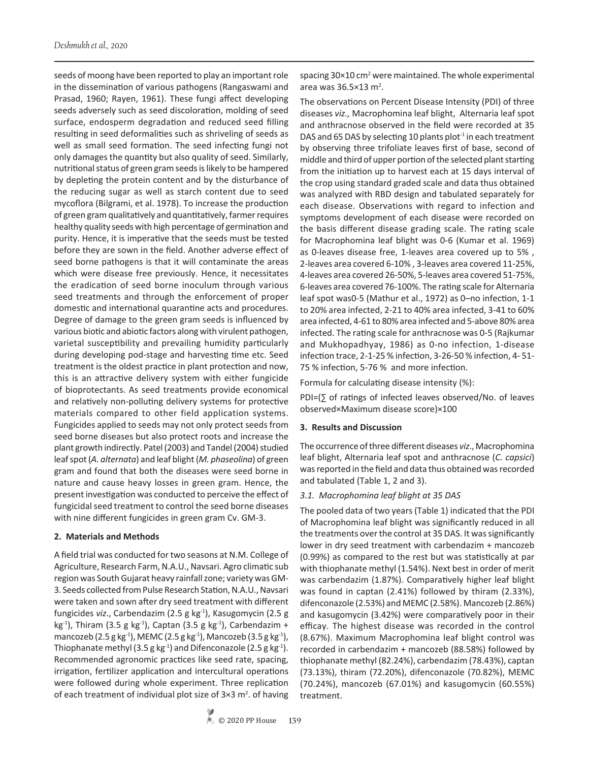seeds of moong have been reported to play an important role in the dissemination of various pathogens (Rangaswami and Prasad, 1960; Rayen, 1961). These fungi affect developing seeds adversely such as seed discoloration, molding of seed surface, endosperm degradation and reduced seed filling resulting in seed deformalities such as shriveling of seeds as well as small seed formation. The seed infecting fungi not only damages the quantity but also quality of seed. Similarly, nutritional status of green gram seeds is likely to be hampered by depleting the protein content and by the disturbance of the reducing sugar as well as starch content due to seed mycoflora (Bilgrami, et al. 1978). To increase the production of green gram qualitatively and quantitatively, farmer requires healthy quality seeds with high percentage of germination and purity. Hence, it is imperative that the seeds must be tested before they are sown in the field. Another adverse effect of seed borne pathogens is that it will contaminate the areas which were disease free previously. Hence, it necessitates the eradication of seed borne inoculum through various seed treatments and through the enforcement of proper domestic and international quarantine acts and procedures. Degree of damage to the green gram seeds is influenced by various biotic and abiotic factors along with virulent pathogen, varietal susceptibility and prevailing humidity particularly during developing pod-stage and harvesting time etc. Seed treatment is the oldest practice in plant protection and now, this is an attractive delivery system with either fungicide of bioprotectants. As seed treatments provide economical and relatively non-polluting delivery systems for protective materials compared to other field application systems. Fungicides applied to seeds may not only protect seeds from seed borne diseases but also protect roots and increase the plant growth indirectly. Patel (2003) and Tandel (2004) studied leaf spot (*A. alternata*) and leaf blight (*M. phaseolina*) of green gram and found that both the diseases were seed borne in nature and cause heavy losses in green gram. Hence, the present investigation was conducted to perceive the effect of fungicidal seed treatment to control the seed borne diseases with nine different fungicides in green gram Cv. GM-3.

## **2. Materials and Methods**

A field trial was conducted for two seasons at N.M. College of Agriculture, Research Farm, N.A.U., Navsari. Agro climatic sub region was South Gujarat heavy rainfall zone; variety was GM-3. Seeds collected from Pulse Research Station, N.A.U., Navsari were taken and sown after dry seed treatment with different fungicides *viz.*, Carbendazim (2.5 g kg<sup>-1</sup>), Kasugomycin (2.5 g kg<sup>-1</sup>), Thiram (3.5 g kg<sup>-1</sup>), Captan (3.5 g kg<sup>-1</sup>), Carbendazim + mancozeb (2.5 g kg<sup>-1</sup>), MEMC (2.5 g kg<sup>-1</sup>), Mancozeb (3.5 g kg<sup>-1</sup>), Thiophanate methyl (3.5 g kg<sup>-1</sup>) and Difenconazole (2.5 g kg<sup>-1</sup>). Recommended agronomic practices like seed rate, spacing, irrigation, fertilizer application and intercultural operations were followed during whole experiment. Three replication of each treatment of individual plot size of  $3\times3$  m<sup>2</sup>. of having spacing 30×10 cm<sup>2</sup> were maintained. The whole experimental area was  $36.5 \times 13$  m<sup>2</sup>.

The observations on Percent Disease Intensity (PDI) of three diseases *viz.,* Macrophomina leaf blight, Alternaria leaf spot and anthracnose observed in the field were recorded at 35 DAS and 65 DAS by selecting 10 plants plot $11$  in each treatment by observing three trifoliate leaves first of base, second of middle and third of upper portion of the selected plant starting from the initiation up to harvest each at 15 days interval of the crop using standard graded scale and data thus obtained was analyzed with RBD design and tabulated separately for each disease. Observations with regard to infection and symptoms development of each disease were recorded on the basis different disease grading scale. The rating scale for Macrophomina leaf blight was 0-6 (Kumar et al. 1969) as 0-leaves disease free, 1-leaves area covered up to 5% , 2-leaves area covered 6-10% , 3-leaves area covered 11-25%, 4-leaves area covered 26-50%, 5-leaves area covered 51-75%, 6-leaves area covered 76-100%. The rating scale for Alternaria leaf spot was0-5 (Mathur et al., 1972) as 0–no infection, 1-1 to 20% area infected, 2-21 to 40% area infected, 3-41 to 60% area infected, 4-61 to 80% area infected and 5-above 80% area infected. The rating scale for anthracnose was 0-5 (Rajkumar and Mukhopadhyay, 1986) as 0-no infection, 1-disease infection trace, 2-1-25 % infection, 3-26-50 % infection, 4- 51- 75 % infection, 5-76 % and more infection.

Formula for calculating disease intensity (%):

PDI=(∑ of ratings of infected leaves observed/No. of leaves observed×Maximum disease score)×100

## **3. Results and Discussion**

The occurrence of three different diseases *viz*., Macrophomina leaf blight, Alternaria leaf spot and anthracnose (*C. capsici*) was reported in the field and data thus obtained was recorded and tabulated (Table 1, 2 and 3).

## *3.1. Macrophomina leaf blight at 35 DAS*

The pooled data of two years (Table 1) indicated that the PDI of Macrophomina leaf blight was significantly reduced in all the treatments over the control at 35 DAS. It was significantly lower in dry seed treatment with carbendazim + mancozeb (0.99%) as compared to the rest but was statistically at par with thiophanate methyl (1.54%). Next best in order of merit was carbendazim (1.87%). Comparatively higher leaf blight was found in captan (2.41%) followed by thiram (2.33%), difenconazole (2.53%) and MEMC (2.58%). Mancozeb (2.86%) and kasugomycin (3.42%) were comparatively poor in their efficay. The highest disease was recorded in the control (8.67%). Maximum Macrophomina leaf blight control was recorded in carbendazim + mancozeb (88.58%) followed by thiophanate methyl (82.24%), carbendazim (78.43%), captan (73.13%), thiram (72.20%), difenconazole (70.82%), MEMC (70.24%), mancozeb (67.01%) and kasugomycin (60.55%) treatment.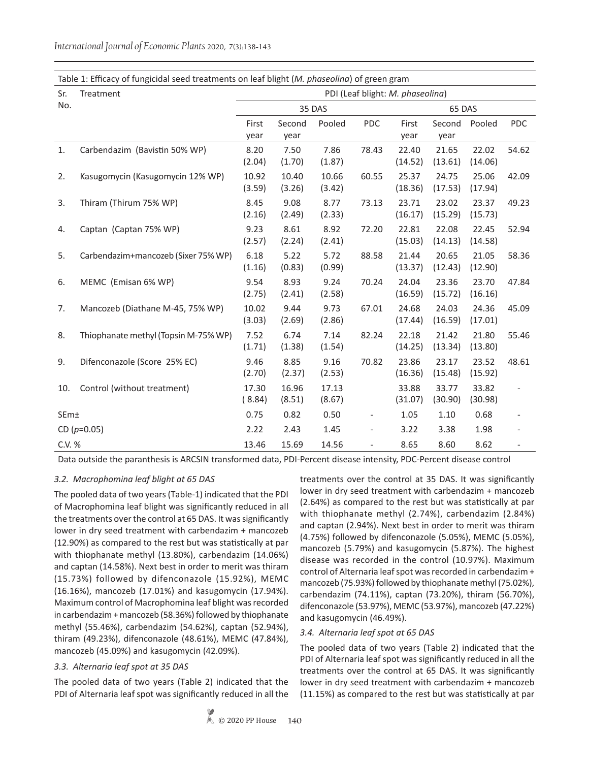Sr. No. Treatment PDI (Leaf blight: *M. phaseolina*) 35 DAS 65 DAS First year Second year Pooled PDC First year Second year Pooled PDC 1. Carbendazim (Bavistin 50% WP) 8.20 (2.04) 7.50 (1.70) 7.86 (1.87) 78.43 22.40 (14.52) 21.65 (13.61) 22.02 (14.06) 54.62 2. Kasugomycin (Kasugomycin 12% WP) 10.92 (3.59) 10.40 (3.26) 10.66 (3.42) 60.55 25.37 (18.36) 24.75 (17.53) 25.06 (17.94) 42.09 3. Thiram (Thirum 75% WP) 8.45 (2.16) 9.08 (2.49) 8.77 (2.33) 73.13 23.71 (16.17) 23.02 (15.29) 23.37 (15.73) 49.23 4. Captan (Captan 75% WP) 9.23 (2.57) 8.61 (2.24) 8.92 (2.41) 72.20 22.81 (15.03) 22.08 (14.13) 22.45 (14.58) 52.94 5. Carbendazim+mancozeb (Sixer 75% WP) 6.18 (1.16) 5.22 (0.83) 5.72 (0.99) 88.58 21.44 (13.37) 20.65 (12.43) 21.05 (12.90) 58.36 6. MEMC (Emisan 6% WP) 9.54 (2.75) 8.93 (2.41) 9.24 (2.58) 70.24 24.04 (16.59) 23.36 (15.72) 23.70 (16.16) 47.84 7. Mancozeb (Diathane M-45, 75% WP) 10.02 (3.03) 9.44 (2.69) 9.73 (2.86) 67.01 24.68 (17.44) 24.03 (16.59) 24.36 (17.01) 45.09 8. Thiophanate methyl (Topsin M-75% WP) 7.52 (1.71) 6.74 (1.38) 7.14 (1.54) 82.24 22.18 (14.25) 21.42 (13.34) 21.80 (13.80) 55.46 9. Difenconazole (Score 25% EC) 9.46 (2.70) 8.85 (2.37) 9.16 (2.53) 70.82 23.86 (16.36) 23.17 (15.48) 23.52 (15.92) 48.61 10. Control (without treatment) 17.30 ( 8.84) 16.96 (8.51) 17.13 (8.67) 33.88 (31.07) 33.77 (30.90) 33.82 (30.98) - SEm± 0.75 0.82 0.50 - 1.05 1.10 0.68 - CD (*p*=0.05) 2.22 2.43 1.45 - 3.22 3.38 1.98 - C.V. % 13.46 15.69 14.56 - 8.65 8.60 8.62 -

*International Journal of Economic Plants* 2020, 7(3):138-143

Table 1: Efficacy of fungicidal seed treatments on leaf blight (*M. phaseolina*) of green gram

Data outside the paranthesis is ARCSIN transformed data, PDI-Percent disease intensity, PDC-Percent disease control

## *3.2. Macrophomina leaf blight at 65 DAS*

The pooled data of two years (Table-1) indicated that the PDI of Macrophomina leaf blight was significantly reduced in all the treatments over the control at 65 DAS. It was significantly lower in dry seed treatment with carbendazim + mancozeb (12.90%) as compared to the rest but was statistically at par with thiophanate methyl (13.80%), carbendazim (14.06%) and captan (14.58%). Next best in order to merit was thiram (15.73%) followed by difenconazole (15.92%), MEMC (16.16%), mancozeb (17.01%) and kasugomycin (17.94%). Maximum control of Macrophomina leaf blight was recorded in carbendazim + mancozeb (58.36%) followed by thiophanate methyl (55.46%), carbendazim (54.62%), captan (52.94%), thiram (49.23%), difenconazole (48.61%), MEMC (47.84%), mancozeb (45.09%) and kasugomycin (42.09%).

## *3.3. Alternaria leaf spot at 35 DAS*

The pooled data of two years (Table 2) indicated that the PDI of Alternaria leaf spot was significantly reduced in all the treatments over the control at 35 DAS. It was significantly lower in dry seed treatment with carbendazim + mancozeb (2.64%) as compared to the rest but was statistically at par with thiophanate methyl (2.74%), carbendazim (2.84%) and captan (2.94%). Next best in order to merit was thiram (4.75%) followed by difenconazole (5.05%), MEMC (5.05%), mancozeb (5.79%) and kasugomycin (5.87%). The highest disease was recorded in the control (10.97%). Maximum control of Alternaria leaf spot was recorded in carbendazim + mancozeb (75.93%) followed by thiophanate methyl (75.02%), carbendazim (74.11%), captan (73.20%), thiram (56.70%), difenconazole (53.97%), MEMC (53.97%), mancozeb (47.22%) and kasugomycin (46.49%).

#### *3.4. Alternaria leaf spot at 65 DAS*

The pooled data of two years (Table 2) indicated that the PDI of Alternaria leaf spot was significantly reduced in all the treatments over the control at 65 DAS. It was significantly lower in dry seed treatment with carbendazim + mancozeb (11.15%) as compared to the rest but was statistically at par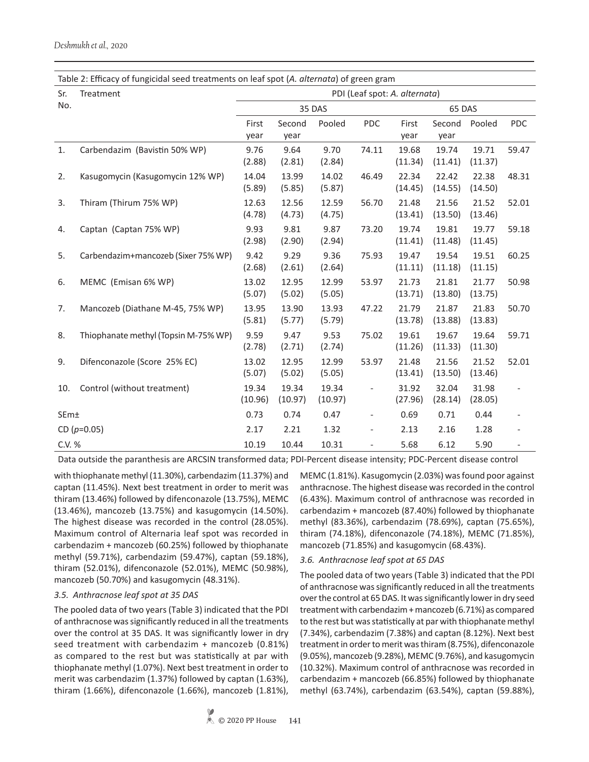| Table 2: Efficacy of fungicidal seed treatments on leaf spot (A. alternata) of green gram |                                      |                               |                  |                  |                              |                  |                  |                  |            |  |
|-------------------------------------------------------------------------------------------|--------------------------------------|-------------------------------|------------------|------------------|------------------------------|------------------|------------------|------------------|------------|--|
| Sr.                                                                                       | Treatment                            | PDI (Leaf spot: A. alternata) |                  |                  |                              |                  |                  |                  |            |  |
| No.                                                                                       |                                      | 35 DAS                        |                  |                  | 65 DAS                       |                  |                  |                  |            |  |
|                                                                                           |                                      | First                         | Second           | Pooled           | PDC                          | First            | Second           | Pooled           | <b>PDC</b> |  |
|                                                                                           |                                      | year                          | year             |                  |                              | year             | year             |                  |            |  |
| 1.                                                                                        | Carbendazim (Bavistin 50% WP)        | 9.76<br>(2.88)                | 9.64<br>(2.81)   | 9.70<br>(2.84)   | 74.11                        | 19.68<br>(11.34) | 19.74<br>(11.41) | 19.71<br>(11.37) | 59.47      |  |
| 2.                                                                                        | Kasugomycin (Kasugomycin 12% WP)     | 14.04<br>(5.89)               | 13.99<br>(5.85)  | 14.02<br>(5.87)  | 46.49                        | 22.34<br>(14.45) | 22.42<br>(14.55) | 22.38<br>(14.50) | 48.31      |  |
| 3.                                                                                        | Thiram (Thirum 75% WP)               | 12.63<br>(4.78)               | 12.56<br>(4.73)  | 12.59<br>(4.75)  | 56.70                        | 21.48<br>(13.41) | 21.56<br>(13.50) | 21.52<br>(13.46) | 52.01      |  |
| 4.                                                                                        | Captan (Captan 75% WP)               | 9.93<br>(2.98)                | 9.81<br>(2.90)   | 9.87<br>(2.94)   | 73.20                        | 19.74<br>(11.41) | 19.81<br>(11.48) | 19.77<br>(11.45) | 59.18      |  |
| 5.                                                                                        | Carbendazim+mancozeb (Sixer 75% WP)  | 9.42<br>(2.68)                | 9.29<br>(2.61)   | 9.36<br>(2.64)   | 75.93                        | 19.47<br>(11.11) | 19.54<br>(11.18) | 19.51<br>(11.15) | 60.25      |  |
| 6.                                                                                        | MEMC (Emisan 6% WP)                  | 13.02<br>(5.07)               | 12.95<br>(5.02)  | 12.99<br>(5.05)  | 53.97                        | 21.73<br>(13.71) | 21.81<br>(13.80) | 21.77<br>(13.75) | 50.98      |  |
| 7.                                                                                        | Mancozeb (Diathane M-45, 75% WP)     | 13.95<br>(5.81)               | 13.90<br>(5.77)  | 13.93<br>(5.79)  | 47.22                        | 21.79<br>(13.78) | 21.87<br>(13.88) | 21.83<br>(13.83) | 50.70      |  |
| 8.                                                                                        | Thiophanate methyl (Topsin M-75% WP) | 9.59<br>(2.78)                | 9.47<br>(2.71)   | 9.53<br>(2.74)   | 75.02                        | 19.61<br>(11.26) | 19.67<br>(11.33) | 19.64<br>(11.30) | 59.71      |  |
| 9.                                                                                        | Difenconazole (Score 25% EC)         | 13.02<br>(5.07)               | 12.95<br>(5.02)  | 12.99<br>(5.05)  | 53.97                        | 21.48<br>(13.41) | 21.56<br>(13.50) | 21.52<br>(13.46) | 52.01      |  |
| 10.                                                                                       | Control (without treatment)          | 19.34<br>(10.96)              | 19.34<br>(10.97) | 19.34<br>(10.97) | $\qquad \qquad \blacksquare$ | 31.92<br>(27.96) | 32.04<br>(28.14) | 31.98<br>(28.05) |            |  |
| SEm±                                                                                      |                                      | 0.73                          | 0.74             | 0.47             | $\qquad \qquad -$            | 0.69             | 0.71             | 0.44             |            |  |
|                                                                                           | CD $(p=0.05)$                        | 2.17                          | 2.21             | 1.32             | $\overline{a}$               | 2.13             | 2.16             | 1.28             |            |  |
| C.V. %                                                                                    |                                      | 10.19                         | 10.44            | 10.31            | $\frac{1}{2}$                | 5.68             | 6.12             | 5.90             |            |  |

Data outside the paranthesis are ARCSIN transformed data; PDI-Percent disease intensity; PDC-Percent disease control

with thiophanate methyl (11.30%), carbendazim (11.37%) and captan (11.45%). Next best treatment in order to merit was thiram (13.46%) followed by difenconazole (13.75%), MEMC (13.46%), mancozeb (13.75%) and kasugomycin (14.50%). The highest disease was recorded in the control (28.05%). Maximum control of Alternaria leaf spot was recorded in carbendazim + mancozeb (60.25%) followed by thiophanate methyl (59.71%), carbendazim (59.47%), captan (59.18%), thiram (52.01%), difenconazole (52.01%), MEMC (50.98%), mancozeb (50.70%) and kasugomycin (48.31%).

## *3.5. Anthracnose leaf spot at 35 DAS*

The pooled data of two years (Table 3) indicated that the PDI of anthracnose was significantly reduced in all the treatments over the control at 35 DAS. It was significantly lower in dry seed treatment with carbendazim + mancozeb (0.81%) as compared to the rest but was statistically at par with thiophanate methyl (1.07%). Next best treatment in order to merit was carbendazim (1.37%) followed by captan (1.63%), thiram (1.66%), difenconazole (1.66%), mancozeb (1.81%), MEMC (1.81%). Kasugomycin (2.03%) was found poor against anthracnose. The highest disease was recorded in the control (6.43%). Maximum control of anthracnose was recorded in carbendazim + mancozeb (87.40%) followed by thiophanate methyl (83.36%), carbendazim (78.69%), captan (75.65%), thiram (74.18%), difenconazole (74.18%), MEMC (71.85%), mancozeb (71.85%) and kasugomycin (68.43%).

#### *3.6. Anthracnose leaf spot at 65 DAS*

The pooled data of two years (Table 3) indicated that the PDI of anthracnose was significantly reduced in all the treatments over the control at 65 DAS. It was significantly lower in dry seed treatment with carbendazim + mancozeb (6.71%) as compared to the rest but was statistically at par with thiophanate methyl (7.34%), carbendazim (7.38%) and captan (8.12%). Next best treatment in order to merit was thiram (8.75%), difenconazole (9.05%), mancozeb (9.28%), MEMC (9.76%), and kasugomycin (10.32%). Maximum control of anthracnose was recorded in carbendazim + mancozeb (66.85%) followed by thiophanate methyl (63.74%), carbendazim (63.54%), captan (59.88%),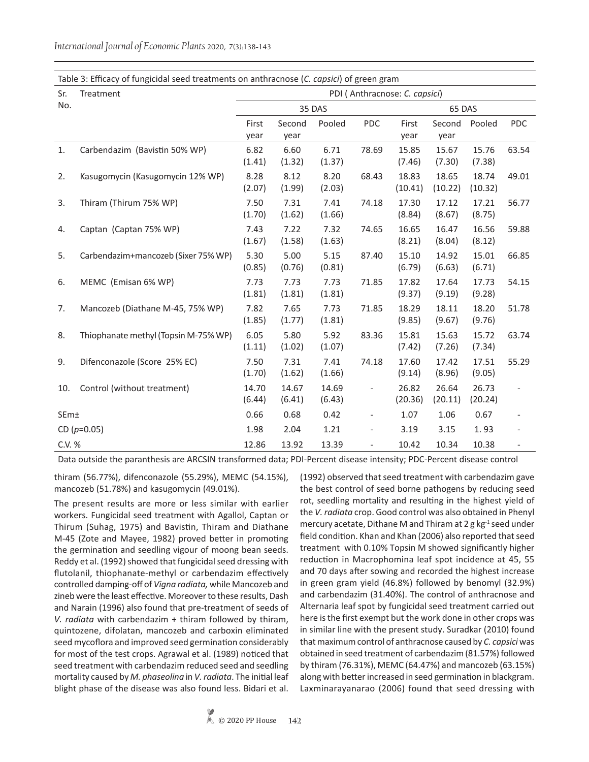Sr. No. Treatment PDI ( Anthracnose: *C. capsici*) 35 DAS 65 DAS First year Second year Pooled PDC First year Second year Pooled PDC 1. Carbendazim (Bavistin 50% WP) 6.82 (1.41) 6.60 (1.32) 6.71 (1.37) 78.69 15.85 (7.46) 15.67 (7.30) 15.76 (7.38) 63.54 2. Kasugomycin (Kasugomycin 12% WP) 8.28 (2.07) 8.12 (1.99) 8.20 (2.03) 68.43 18.83 (10.41) 18.65 (10.22) 18.74 (10.32) 49.01 3. Thiram (Thirum 75% WP) 7.50 (1.70) 7.31 (1.62) 7.41 (1.66) 74.18 17.30 (8.84) 17.12 (8.67) 17.21 (8.75) 56.77 4. Captan (Captan 75% WP) 7.43 (1.67) 7.22 (1.58) 7.32 (1.63) 74.65 16.65 (8.21) 16.47 (8.04) 16.56 (8.12) 59.88 5. Carbendazim+mancozeb (Sixer 75% WP) 5.30 (0.85) 5.00 (0.76) 5.15 (0.81) 87.40 15.10 (6.79) 14.92 (6.63) 15.01 (6.71) 66.85 6. MEMC (Emisan 6% WP) 7.73 (1.81) 7.73 (1.81) 7.73 (1.81) 71.85 17.82 (9.37) 17.64 (9.19) 17.73 (9.28) 54.15 7. Mancozeb (Diathane M-45, 75% WP) 7.82 (1.85) 7.65 (1.77) 7.73 (1.81) 71.85 18.29 (9.85) 18.11 (9.67) 18.20 (9.76) 51.78 8. Thiophanate methyl (Topsin M-75% WP) 6.05 (1.11) 5.80 (1.02) 5.92 (1.07) 83.36 15.81 (7.42) 15.63 (7.26) 15.72 (7.34) 63.74 9. Difenconazole (Score 25% EC) 7.50 (1.70) 7.31 (1.62) 7.41 (1.66) 74.18 17.60 (9.14) 17.42 (8.96) 17.51 (9.05) 55.29 10. Control (without treatment) 14.70 (6.44) 14.67 (6.41) 14.69 (6.43) - 26.82 (20.36) 26.64 (20.11) 26.73 (20.24) - SEm± 0.66 0.68 0.42 - 1.07 1.06 0.67 - CD (*p*=0.05) 1.98 2.04 1.21 - 3.19 3.15 1. 93 - C.V. % 12.86 13.92 13.39 - 10.42 10.34 10.38 -

*International Journal of Economic Plants* 2020, 7(3):138-143

Table 3: Efficacy of fungicidal seed treatments on anthracnose (*C. capsici*) of green gram

Data outside the paranthesis are ARCSIN transformed data; PDI-Percent disease intensity; PDC-Percent disease control

thiram (56.77%), difenconazole (55.29%), MEMC (54.15%), mancozeb (51.78%) and kasugomycin (49.01%).

The present results are more or less similar with earlier workers. Fungicidal seed treatment with Agallol, Captan or Thirum (Suhag, 1975) and Bavistin, Thiram and Diathane M-45 (Zote and Mayee, 1982) proved better in promoting the germination and seedling vigour of moong bean seeds. Reddy et al. (1992) showed that fungicidal seed dressing with flutolanil, thiophanate-methyl or carbendazim effectively controlled damping-off of *Vigna radiata,* while Mancozeb and zineb were the least effective. Moreover to these results, Dash and Narain (1996) also found that pre-treatment of seeds of *V. radiata* with carbendazim + thiram followed by thiram, quintozene, difolatan, mancozeb and carboxin eliminated seed mycoflora and improved seed germination considerably for most of the test crops. Agrawal et al. (1989) noticed that seed treatment with carbendazim reduced seed and seedling mortality caused by *M. phaseolina* in *V. radiata*. The initial leaf blight phase of the disease was also found less. Bidari et al.

(1992) observed that seed treatment with carbendazim gave the best control of seed borne pathogens by reducing seed rot, seedling mortality and resulting in the highest yield of the *V. radiata* crop. Good control was also obtained in Phenyl mercury acetate, Dithane M and Thiram at 2 g  $kg<sup>-1</sup>$  seed under field condition. Khan and Khan (2006) also reported that seed treatment with 0.10% Topsin M showed significantly higher reduction in Macrophomina leaf spot incidence at 45, 55 and 70 days after sowing and recorded the highest increase in green gram yield (46.8%) followed by benomyl (32.9%) and carbendazim (31.40%). The control of anthracnose and Alternaria leaf spot by fungicidal seed treatment carried out here is the first exempt but the work done in other crops was in similar line with the present study. Suradkar (2010) found that maximum control of anthracnose caused by *C. capsici* was obtained in seed treatment of carbendazim (81.57%) followed by thiram (76.31%), MEMC (64.47%) and mancozeb (63.15%) along with better increased in seed germination in blackgram. Laxminarayanarao (2006) found that seed dressing with